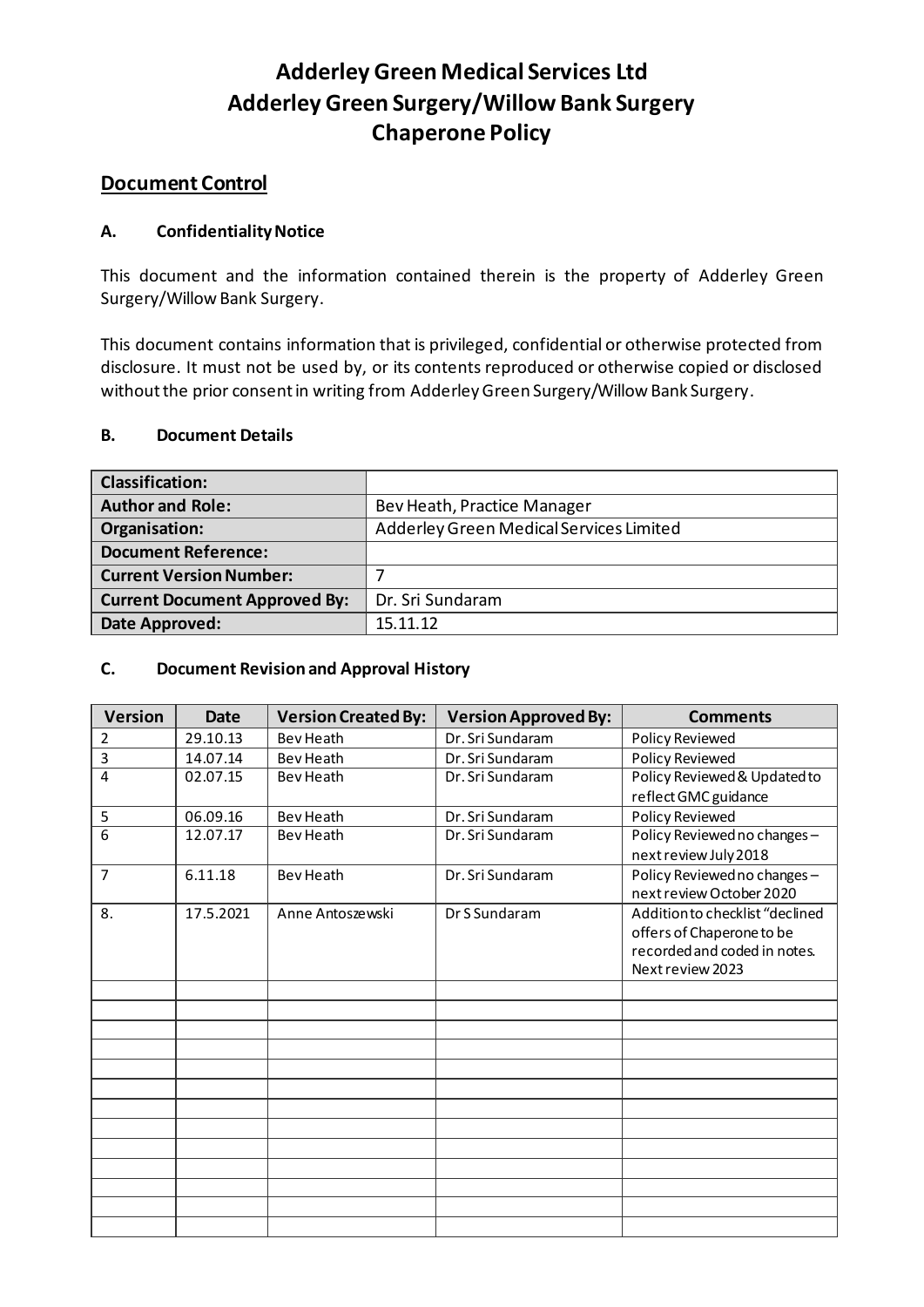### **Adderley Green Medical Services Ltd Adderley Green Surgery/Willow Bank Surgery Chaperone Policy**

#### **Document Control**

#### **A. Confidentiality Notice**

This document and the information contained therein is the property of Adderley Green Surgery/Willow Bank Surgery.

This document contains information that is privileged, confidential or otherwise protected from disclosure. It must not be used by, or its contents reproduced or otherwise copied or disclosed without the prior consent in writing from Adderley Green Surgery/Willow Bank Surgery.

#### **B. Document Details**

| <b>Classification:</b>               |                                         |  |
|--------------------------------------|-----------------------------------------|--|
| <b>Author and Role:</b>              | Bev Heath, Practice Manager             |  |
| Organisation:                        | Adderley Green Medical Services Limited |  |
| <b>Document Reference:</b>           |                                         |  |
| <b>Current Version Number:</b>       |                                         |  |
| <b>Current Document Approved By:</b> | Dr. Sri Sundaram                        |  |
| Date Approved:                       | 15.11.12                                |  |

#### **C. Document Revision and Approval History**

| <b>Version</b> | <b>Date</b> | <b>Version Created By:</b> | <b>Version Approved By:</b> | <b>Comments</b>                 |
|----------------|-------------|----------------------------|-----------------------------|---------------------------------|
| $\overline{2}$ | 29.10.13    | <b>Bev Heath</b>           | Dr. Sri Sundaram            | Policy Reviewed                 |
| 3              | 14.07.14    | Bev Heath                  | Dr. Sri Sundaram            | <b>Policy Reviewed</b>          |
| $\overline{4}$ | 02.07.15    | Bev Heath                  | Dr. Sri Sundaram            | Policy Reviewed & Updated to    |
|                |             |                            |                             | reflect GMC guidance            |
| 5              | 06.09.16    | Bev Heath                  | Dr. Sri Sundaram            | Policy Reviewed                 |
| $\overline{6}$ | 12.07.17    | Bev Heath                  | Dr. Sri Sundaram            | Policy Reviewed no changes-     |
|                |             |                            |                             | next review July 2018           |
| $\overline{7}$ | 6.11.18     | Bev Heath                  | Dr. Sri Sundaram            | Policy Reviewed no changes-     |
|                |             |                            |                             | next review October 2020        |
| 8.             | 17.5.2021   | Anne Antoszewski           | Dr S Sundaram               | Addition to checklist "declined |
|                |             |                            |                             | offers of Chaperone to be       |
|                |             |                            |                             | recorded and coded in notes.    |
|                |             |                            |                             | Next review 2023                |
|                |             |                            |                             |                                 |
|                |             |                            |                             |                                 |
|                |             |                            |                             |                                 |
|                |             |                            |                             |                                 |
|                |             |                            |                             |                                 |
|                |             |                            |                             |                                 |
|                |             |                            |                             |                                 |
|                |             |                            |                             |                                 |
|                |             |                            |                             |                                 |
|                |             |                            |                             |                                 |
|                |             |                            |                             |                                 |
|                |             |                            |                             |                                 |
|                |             |                            |                             |                                 |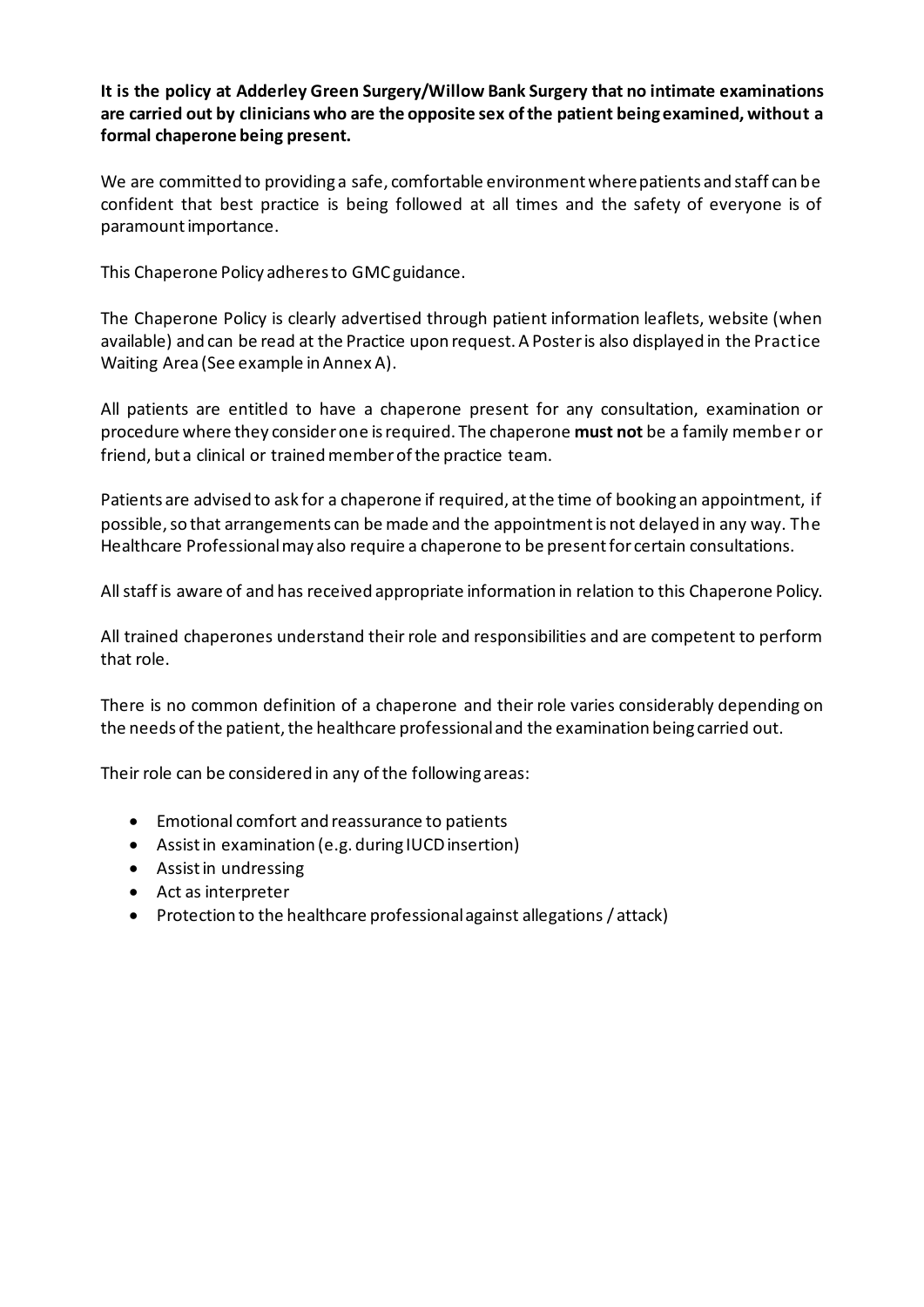**It is the policy at Adderley Green Surgery/Willow Bank Surgery that no intimate examinations are carried out by clinicians who are the opposite sex ofthe patient being examined, without a formal chaperone being present.**

We are committed to providing a safe, comfortable environment where patients and staff can be confident that best practice is being followed at all times and the safety of everyone is of paramount importance.

This Chaperone Policy adheres to GMC guidance.

The Chaperone Policy is clearly advertised through patient information leaflets, website (when available) and can be read at the Practice upon request. A Poster is also displayed in the Practice Waiting Area (See example in Annex A).

All patients are entitled to have a chaperone present for any consultation, examination or procedure where they consider one is required. The chaperone **must not** be a family member or friend, but a clinical or trained member of the practice team.

Patients are advised to ask for a chaperone if required, at the time of booking an appointment, if possible, so that arrangements can be made and the appointment is not delayed in any way. The Healthcare Professional may also require a chaperone to be present for certain consultations.

All staff is aware of and has received appropriate information in relation to this Chaperone Policy.

All trained chaperones understand their role and responsibilities and are competent to perform that role.

There is no common definition of a chaperone and their role varies considerably depending on the needs of the patient, the healthcare professional and the examination being carried out.

Their role can be considered in any of the following areas:

- Emotional comfort and reassurance to patients
- Assistin examination (e.g. during IUCD insertion)
- Assist in undressing
- Act as interpreter
- Protection to the healthcare professional against allegations / attack)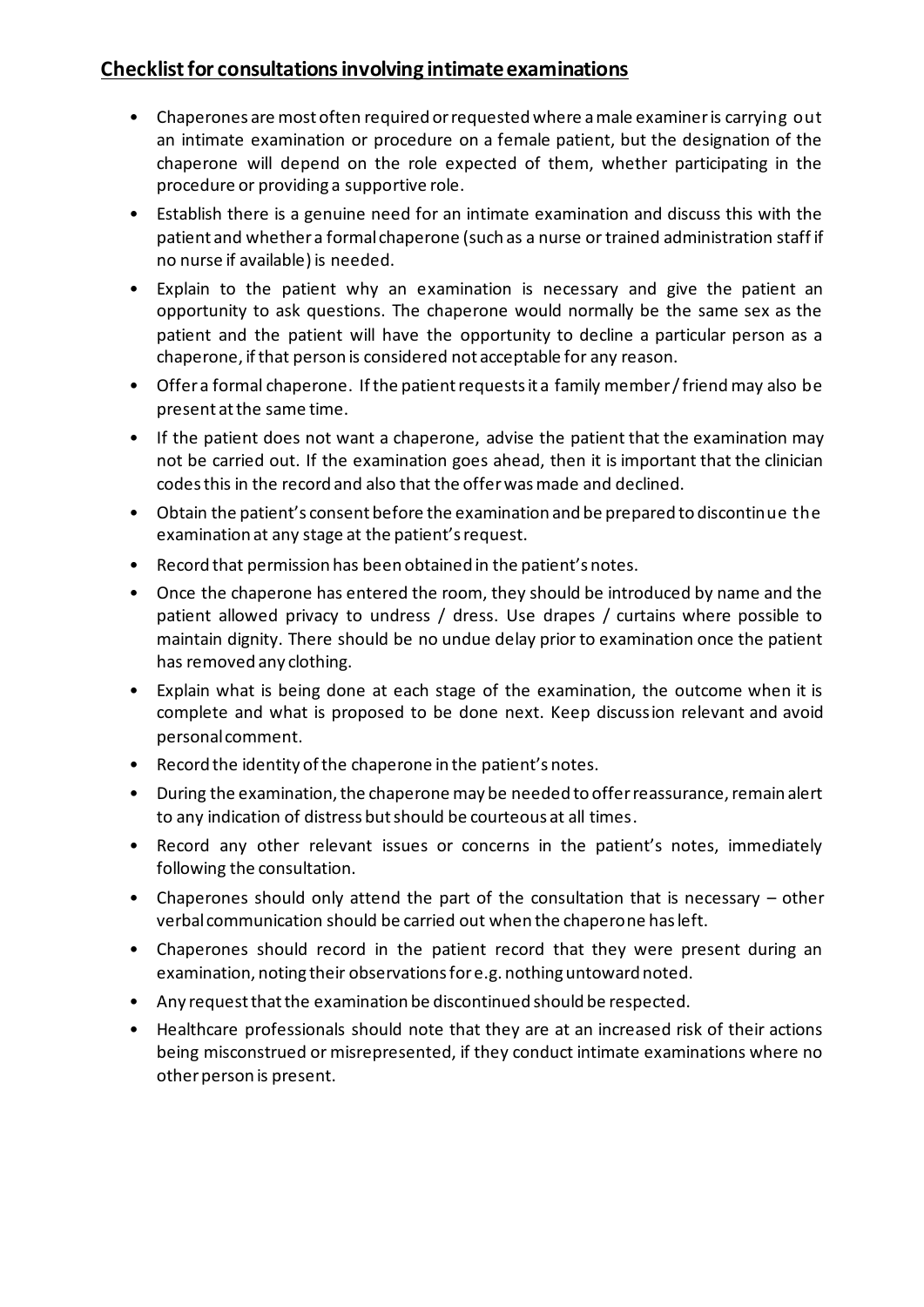#### **Checklist for consultations involving intimate examinations**

- Chaperones are most often required or requested where a male examiner is carrying out an intimate examination or procedure on a female patient, but the designation of the chaperone will depend on the role expected of them, whether participating in the procedure or providing a supportive role.
- Establish there is a genuine need for an intimate examination and discuss this with the patient and whether a formal chaperone (such as a nurse or trained administration staff if no nurse if available) is needed.
- Explain to the patient why an examination is necessary and give the patient an opportunity to ask questions. The chaperone would normally be the same sex as the patient and the patient will have the opportunity to decline a particular person as a chaperone, if that person is considered not acceptable for any reason.
- Offer a formal chaperone. If the patient requests it a family member / friend may also be present at the same time.
- If the patient does not want a chaperone, advise the patient that the examination may not be carried out. If the examination goes ahead, then it is important that the clinician codes this in the record and also that the offer was made and declined.
- Obtain the patient's consent before the examination and be prepared to discontinue the examination at any stage at the patient's request.
- Record that permission has been obtained in the patient's notes.
- Once the chaperone has entered the room, they should be introduced by name and the patient allowed privacy to undress / dress. Use drapes / curtains where possible to maintain dignity. There should be no undue delay prior to examination once the patient has removed any clothing.
- Explain what is being done at each stage of the examination, the outcome when it is complete and what is proposed to be done next. Keep discussion relevant and avoid personal comment.
- Record the identity of the chaperone in the patient's notes.
- During the examination, the chaperone may be needed to offer reassurance, remain alert to any indication of distress but should be courteous at all times.
- Record any other relevant issues or concerns in the patient's notes, immediately following the consultation.
- Chaperones should only attend the part of the consultation that is necessary other verbal communication should be carried out when the chaperone has left.
- Chaperones should record in the patient record that they were present during an examination, noting their observations for e.g. nothing untoward noted.
- Any request that the examination be discontinued should be respected.
- Healthcare professionals should note that they are at an increased risk of their actions being misconstrued or misrepresented, if they conduct intimate examinations where no other person is present.